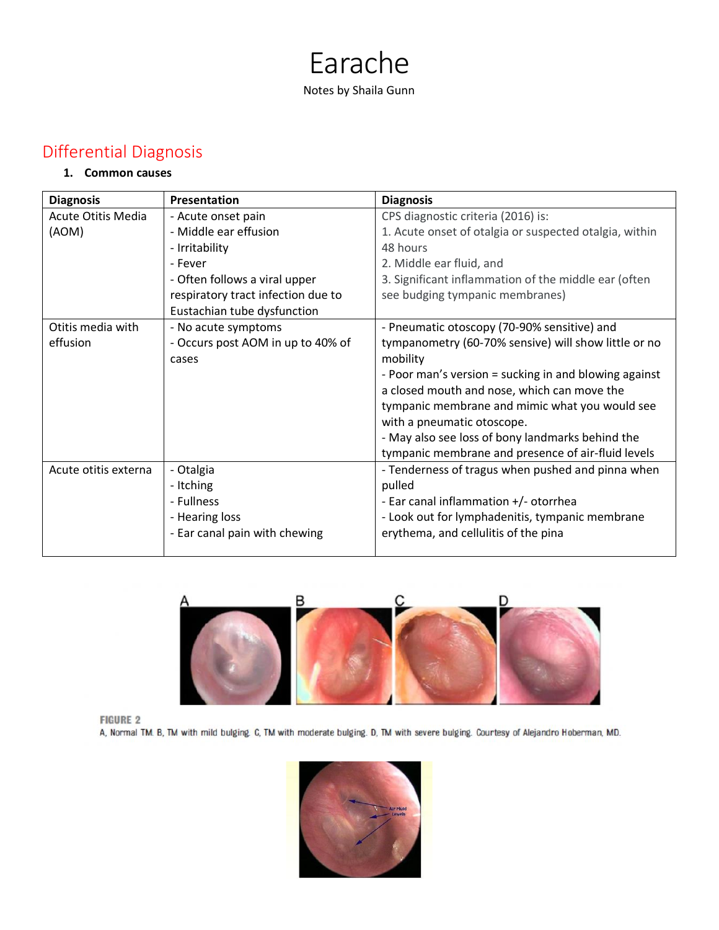# Earache Notes by Shaila Gunn

# Differential Diagnosis

#### **1. Common causes**

| <b>Diagnosis</b>          | Presentation                       | <b>Diagnosis</b>                                       |
|---------------------------|------------------------------------|--------------------------------------------------------|
| <b>Acute Otitis Media</b> | - Acute onset pain                 | CPS diagnostic criteria (2016) is:                     |
| (AOM)                     | - Middle ear effusion              | 1. Acute onset of otalgia or suspected otalgia, within |
|                           | - Irritability                     | 48 hours                                               |
|                           | - Fever                            | 2. Middle ear fluid, and                               |
|                           | - Often follows a viral upper      | 3. Significant inflammation of the middle ear (often   |
|                           | respiratory tract infection due to | see budging tympanic membranes)                        |
|                           | Eustachian tube dysfunction        |                                                        |
| Otitis media with         | - No acute symptoms                | - Pneumatic otoscopy (70-90% sensitive) and            |
| effusion                  | - Occurs post AOM in up to 40% of  | tympanometry (60-70% sensive) will show little or no   |
|                           | cases                              | mobility                                               |
|                           |                                    | - Poor man's version = sucking in and blowing against  |
|                           |                                    | a closed mouth and nose, which can move the            |
|                           |                                    | tympanic membrane and mimic what you would see         |
|                           |                                    | with a pneumatic otoscope.                             |
|                           |                                    | - May also see loss of bony landmarks behind the       |
|                           |                                    | tympanic membrane and presence of air-fluid levels     |
| Acute otitis externa      | - Otalgia                          | - Tenderness of tragus when pushed and pinna when      |
|                           | - Itching                          | pulled                                                 |
|                           | - Fullness                         | - Ear canal inflammation +/- otorrhea                  |
|                           | - Hearing loss                     | - Look out for lymphadenitis, tympanic membrane        |
|                           | - Ear canal pain with chewing      | erythema, and cellulitis of the pina                   |
|                           |                                    |                                                        |



**FIGURE 2** 

A, Normal TM. B, TM with mild bulging. C, TM with moderate bulging. D, TM with severe bulging. Courtesy of Alejandro Hoberman, MD.

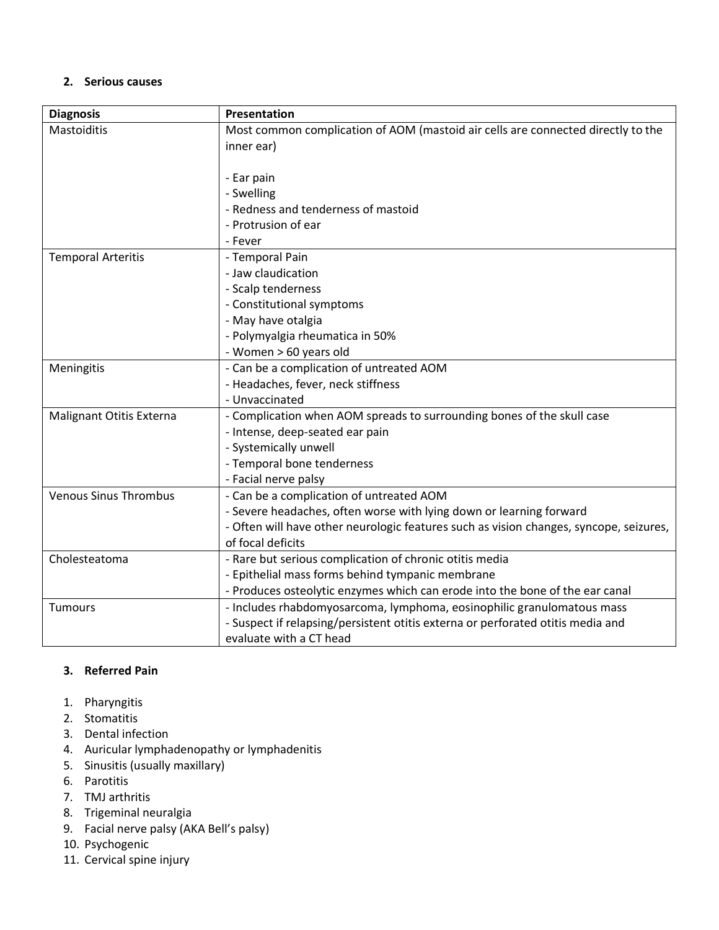#### **2. Serious causes**

| <b>Diagnosis</b>             | Presentation                                                                           |
|------------------------------|----------------------------------------------------------------------------------------|
| Mastoiditis                  | Most common complication of AOM (mastoid air cells are connected directly to the       |
|                              | inner ear)                                                                             |
|                              |                                                                                        |
|                              | - Ear pain                                                                             |
|                              | - Swelling                                                                             |
|                              | - Redness and tenderness of mastoid                                                    |
|                              | - Protrusion of ear                                                                    |
|                              | - Fever                                                                                |
| <b>Temporal Arteritis</b>    | - Temporal Pain                                                                        |
|                              | - Jaw claudication                                                                     |
|                              | - Scalp tenderness                                                                     |
|                              | - Constitutional symptoms                                                              |
|                              | - May have otalgia                                                                     |
|                              | - Polymyalgia rheumatica in 50%                                                        |
|                              | - Women > 60 years old                                                                 |
| Meningitis                   | - Can be a complication of untreated AOM                                               |
|                              | - Headaches, fever, neck stiffness                                                     |
|                              | - Unvaccinated                                                                         |
| Malignant Otitis Externa     | - Complication when AOM spreads to surrounding bones of the skull case                 |
|                              | - Intense, deep-seated ear pain                                                        |
|                              | - Systemically unwell                                                                  |
|                              | - Temporal bone tenderness                                                             |
|                              | - Facial nerve palsy                                                                   |
| <b>Venous Sinus Thrombus</b> | - Can be a complication of untreated AOM                                               |
|                              | - Severe headaches, often worse with lying down or learning forward                    |
|                              | - Often will have other neurologic features such as vision changes, syncope, seizures, |
|                              | of focal deficits                                                                      |
| Cholesteatoma                | - Rare but serious complication of chronic otitis media                                |
|                              | - Epithelial mass forms behind tympanic membrane                                       |
|                              | - Produces osteolytic enzymes which can erode into the bone of the ear canal           |
| <b>Tumours</b>               | - Includes rhabdomyosarcoma, lymphoma, eosinophilic granulomatous mass                 |
|                              | - Suspect if relapsing/persistent otitis externa or perforated otitis media and        |
|                              | evaluate with a CT head                                                                |

#### **3. Referred Pain**

- 1. Pharyngitis
- 2. Stomatitis
- 3. Dental infection
- 4. Auricular lymphadenopathy or lymphadenitis
- 5. Sinusitis (usually maxillary)
- 6. Parotitis
- 7. TMJ arthritis
- 8. Trigeminal neuralgia
- 9. Facial nerve palsy (AKA Bell's palsy)
- 10. Psychogenic
- 11. Cervical spine injury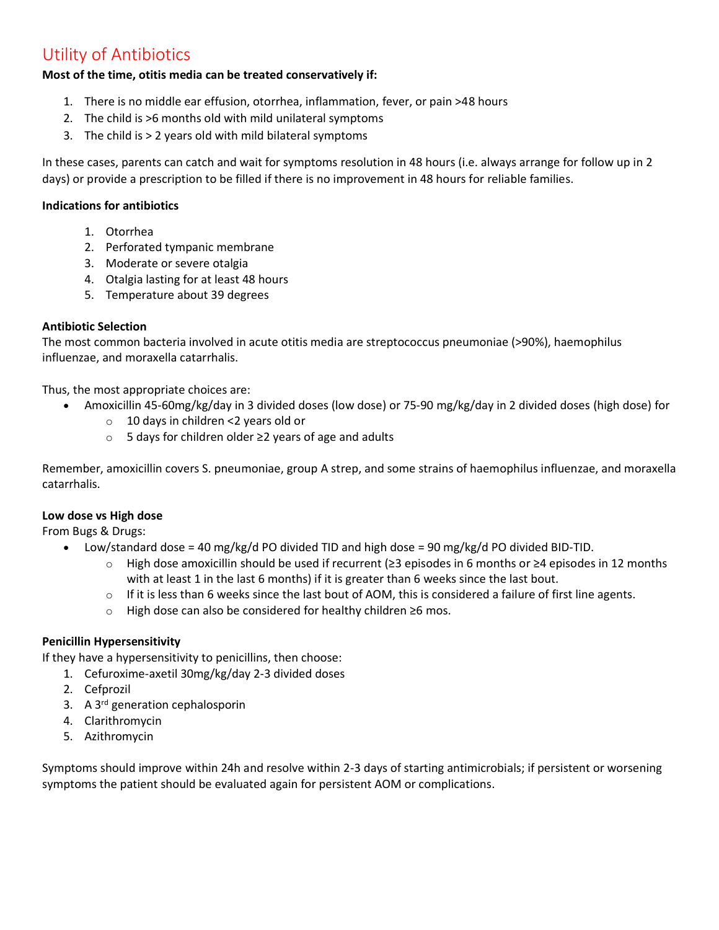# Utility of Antibiotics

#### **Most of the time, otitis media can be treated conservatively if:**

- 1. There is no middle ear effusion, otorrhea, inflammation, fever, or pain >48 hours
- 2. The child is >6 months old with mild unilateral symptoms
- 3. The child is > 2 years old with mild bilateral symptoms

In these cases, parents can catch and wait for symptoms resolution in 48 hours (i.e. always arrange for follow up in 2 days) or provide a prescription to be filled if there is no improvement in 48 hours for reliable families.

#### **Indications for antibiotics**

- 1. Otorrhea
- 2. Perforated tympanic membrane
- 3. Moderate or severe otalgia
- 4. Otalgia lasting for at least 48 hours
- 5. Temperature about 39 degrees

#### **Antibiotic Selection**

The most common bacteria involved in acute otitis media are streptococcus pneumoniae (>90%), haemophilus influenzae, and moraxella catarrhalis.

Thus, the most appropriate choices are:

- Amoxicillin 45-60mg/kg/day in 3 divided doses (low dose) or 75-90 mg/kg/day in 2 divided doses (high dose) for
	- o 10 days in children <2 years old or
	- o 5 days for children older ≥2 years of age and adults

Remember, amoxicillin covers S. pneumoniae, group A strep, and some strains of haemophilus influenzae, and moraxella catarrhalis.

#### **Low dose vs High dose**

From Bugs & Drugs:

- Low/standard dose = 40 mg/kg/d PO divided TID and high dose = 90 mg/kg/d PO divided BID-TID.
	- o High dose amoxicillin should be used if recurrent (≥3 episodes in 6 months or ≥4 episodes in 12 months with at least 1 in the last 6 months) if it is greater than 6 weeks since the last bout.
	- $\circ$  If it is less than 6 weeks since the last bout of AOM, this is considered a failure of first line agents.
	- o High dose can also be considered for healthy children ≥6 mos.

#### **Penicillin Hypersensitivity**

If they have a hypersensitivity to penicillins, then choose:

- 1. Cefuroxime-axetil 30mg/kg/day 2-3 divided doses
- 2. Cefprozil
- 3. A 3rd generation cephalosporin
- 4. Clarithromycin
- 5. Azithromycin

Symptoms should improve within 24h and resolve within 2-3 days of starting antimicrobials; if persistent or worsening symptoms the patient should be evaluated again for persistent AOM or complications.